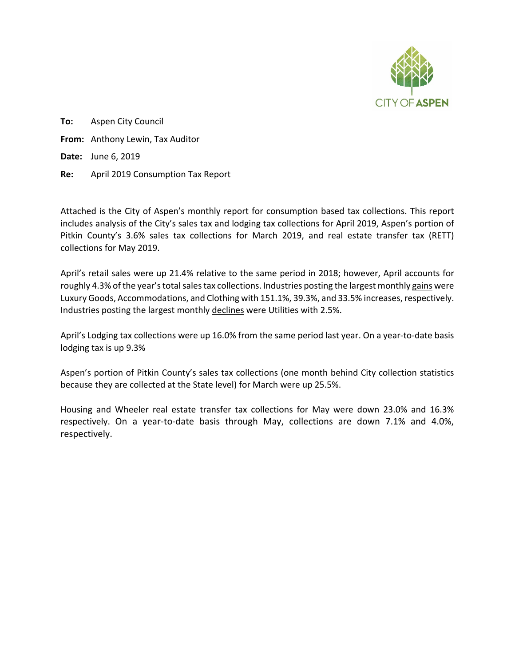

**To:** Aspen City Council **From:** Anthony Lewin, Tax Auditor **Date:** June 6, 2019 **Re:** April 2019 Consumption Tax Report

Attached is the City of Aspen's monthly report for consumption based tax collections. This report includes analysis of the City's sales tax and lodging tax collections for April 2019, Aspen's portion of Pitkin County's 3.6% sales tax collections for March 2019, and real estate transfer tax (RETT) collections for May 2019.

April's retail sales were up 21.4% relative to the same period in 2018; however, April accounts for roughly 4.3% of the year'stotal sales tax collections. Industries posting the largest monthly gains were Luxury Goods, Accommodations, and Clothing with 151.1%, 39.3%, and 33.5% increases, respectively. Industries posting the largest monthly declines were Utilities with 2.5%.

April's Lodging tax collections were up 16.0% from the same period last year. On a year-to-date basis lodging tax is up 9.3%

Aspen's portion of Pitkin County's sales tax collections (one month behind City collection statistics because they are collected at the State level) for March were up 25.5%.

Housing and Wheeler real estate transfer tax collections for May were down 23.0% and 16.3% respectively. On a year-to-date basis through May, collections are down 7.1% and 4.0%, respectively.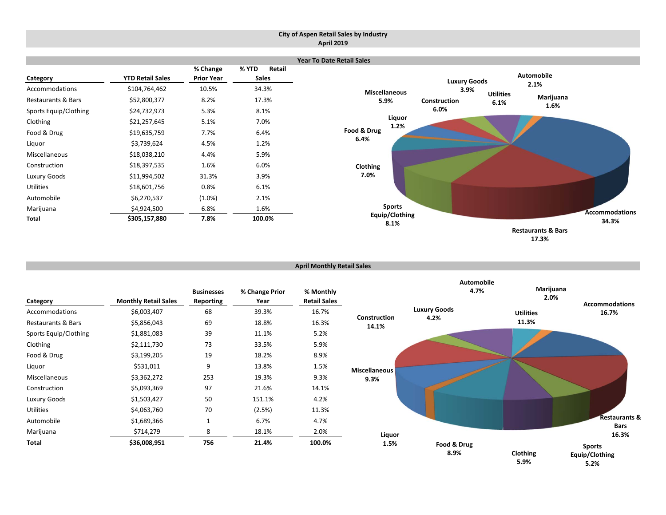#### **City of Aspen Retail Sales by Industry April 2019**



| <b>April Monthly Retail Sales</b> |  |
|-----------------------------------|--|

| Category              | <b>Monthly Retail Sales</b> | <b>Businesses</b><br><b>Reporting</b> | % Change Prior<br>Year | % Monthly<br><b>Retail Sales</b> |                       | <b>Automobile</b><br>4.7% | Marijuana<br>2.0% | <b>Accommodations</b>                   |
|-----------------------|-----------------------------|---------------------------------------|------------------------|----------------------------------|-----------------------|---------------------------|-------------------|-----------------------------------------|
| Accommodations        | \$6,003,407                 | 68                                    | 39.3%                  | 16.7%                            |                       | <b>Luxury Goods</b>       | <b>Utilities</b>  | 16.7%                                   |
| Restaurants & Bars    | \$5,856,043                 | 69                                    | 18.8%                  | 16.3%                            | Construction<br>14.1% | 4.2%                      | 11.3%             |                                         |
| Sports Equip/Clothing | \$1,881,083                 | 39                                    | 11.1%                  | 5.2%                             |                       |                           |                   |                                         |
| Clothing              | \$2,111,730                 | 73                                    | 33.5%                  | 5.9%                             |                       |                           |                   |                                         |
| Food & Drug           | \$3,199,205                 | 19                                    | 18.2%                  | 8.9%                             |                       |                           |                   |                                         |
| Liquor                | \$531,011                   | 9                                     | 13.8%                  | 1.5%                             | <b>Miscellaneous</b>  |                           |                   |                                         |
| Miscellaneous         | \$3,362,272                 | 253                                   | 19.3%                  | 9.3%                             | 9.3%                  |                           |                   |                                         |
| Construction          | \$5,093,369                 | 97                                    | 21.6%                  | 14.1%                            |                       |                           |                   |                                         |
| Luxury Goods          | \$1,503,427                 | 50                                    | 151.1%                 | 4.2%                             |                       |                           |                   |                                         |
| <b>Utilities</b>      | \$4,063,760                 | 70                                    | (2.5%)                 | 11.3%                            |                       |                           |                   |                                         |
| Automobile            | \$1,689,366                 | $\mathbf{1}$                          | 6.7%                   | 4.7%                             |                       |                           |                   | Restaurants &<br><b>Bars</b>            |
| Marijuana             | \$714,279                   | 8                                     | 18.1%                  | 2.0%                             | Liquor                |                           |                   | 16.3%                                   |
| Total                 | \$36,008,951                | 756                                   | 21.4%                  | 100.0%                           | 1.5%                  | Food & Drug<br>8.9%       | Clothing<br>5.9%  | <b>Sports</b><br>Equip/Clothing<br>5.2% |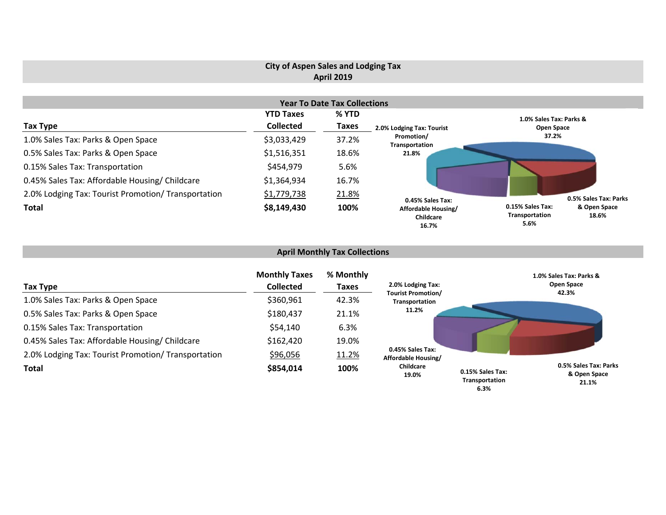## **City of Aspen Sales and Lodging Tax April 2019**

|                                                     |                  | <b>Year To Date Tax Collections</b> |                                           |                                                                     |  |
|-----------------------------------------------------|------------------|-------------------------------------|-------------------------------------------|---------------------------------------------------------------------|--|
|                                                     | <b>YTD Taxes</b> | % YTD                               |                                           | 1.0% Sales Tax: Parks &                                             |  |
| Tax Type                                            | <b>Collected</b> | <b>Taxes</b>                        | 2.0% Lodging Tax: Tourist                 | Open Space                                                          |  |
| 1.0% Sales Tax: Parks & Open Space                  | \$3,033,429      | 37.2%                               | Promotion/<br>Transportation              | 37.2%                                                               |  |
| 0.5% Sales Tax: Parks & Open Space                  | \$1,516,351      | 18.6%                               | 21.8%                                     |                                                                     |  |
| 0.15% Sales Tax: Transportation                     | \$454,979        | 5.6%                                |                                           |                                                                     |  |
| 0.45% Sales Tax: Affordable Housing/ Childcare      | \$1,364,934      | 16.7%                               |                                           |                                                                     |  |
| 2.0% Lodging Tax: Tourist Promotion/ Transportation | \$1,779,738      | 21.8%                               | 0.45% Sales Tax:                          | 0.5% Sales Tax: Parks                                               |  |
| <b>Total</b>                                        | \$8,149,430      | 100%                                | Affordable Housing/<br>Childcare<br>16.7% | 0.15% Sales Tax:<br>& Open Space<br>Transportation<br>18.6%<br>5.6% |  |

# **April Monthly Tax Collections**

| Tax Type                                            | <b>Monthly Taxes</b><br><b>Collected</b> | % Monthly<br>Taxes | 2.0% Lodging Tax:                           |                                            | 1.0% Sales Tax: Parks &<br>Open Space<br>42.3% |
|-----------------------------------------------------|------------------------------------------|--------------------|---------------------------------------------|--------------------------------------------|------------------------------------------------|
| 1.0% Sales Tax: Parks & Open Space                  | \$360,961                                | 42.3%              | <b>Tourist Promotion/</b><br>Transportation |                                            |                                                |
| 0.5% Sales Tax: Parks & Open Space                  | \$180,437                                | 21.1%              | 11.2%                                       |                                            |                                                |
| 0.15% Sales Tax: Transportation                     | \$54,140                                 | 6.3%               |                                             |                                            |                                                |
| 0.45% Sales Tax: Affordable Housing/ Childcare      | \$162,420                                | 19.0%              |                                             |                                            |                                                |
| 2.0% Lodging Tax: Tourist Promotion/ Transportation | \$96,056                                 | 11.2%              | 0.45% Sales Tax:<br>Affordable Housing/     |                                            |                                                |
| <b>Total</b>                                        | \$854,014                                | 100%               | Childcare<br>19.0%                          | 0.15% Sales Tax:<br>Transportation<br>6.3% | 0.5% Sales Tax: Parks<br>& Open Space<br>21.1% |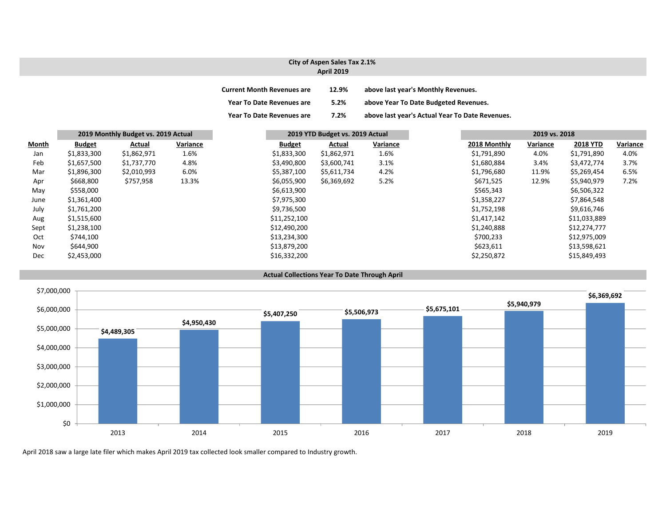#### **City of Aspen Sales Tax 2.1% April 2019**

| <b>Current Month Revenues are</b> | 12.9% | above last year's Monthly Revenues.             |
|-----------------------------------|-------|-------------------------------------------------|
| <b>Year To Date Revenues are</b>  | 5.2%  | above Year To Date Budgeted Revenues.           |
| <b>Year To Date Revenues are</b>  | 7.2%  | above last year's Actual Year To Date Revenues. |

|       | 2019 Monthly Budget vs. 2019 Actual |             |          | 2019 YTD Budget vs. 2019 Actual |             |          | 2019 vs. 2018 |          |                 |          |
|-------|-------------------------------------|-------------|----------|---------------------------------|-------------|----------|---------------|----------|-----------------|----------|
| Month | <b>Budget</b>                       | Actual      | Variance | <b>Budget</b>                   | Actual      | Variance | 2018 Monthly  | Variance | <b>2018 YTD</b> | Variance |
| Jan   | \$1,833,300                         | \$1,862,971 | 1.6%     | \$1,833,300                     | \$1,862,971 | 1.6%     | \$1,791,890   | 4.0%     | \$1,791,890     | 4.0%     |
| Feb   | \$1,657,500                         | \$1,737,770 | 4.8%     | \$3,490,800                     | \$3,600,741 | 3.1%     | \$1,680,884   | 3.4%     | \$3,472,774     | 3.7%     |
| Mar   | \$1,896,300                         | \$2,010,993 | 6.0%     | \$5,387,100                     | \$5,611,734 | 4.2%     | \$1,796,680   | 11.9%    | \$5,269,454     | 6.5%     |
| Apr   | \$668,800                           | \$757,958   | 13.3%    | \$6,055,900                     | \$6,369,692 | 5.2%     | \$671,525     | 12.9%    | \$5,940,979     | 7.2%     |
| May   | \$558,000                           |             |          | \$6,613,900                     |             |          | \$565,343     |          | \$6,506,322     |          |
| June  | \$1,361,400                         |             |          | \$7,975,300                     |             |          | \$1,358,227   |          | \$7,864,548     |          |
| July  | \$1,761,200                         |             |          | \$9,736,500                     |             |          | \$1,752,198   |          | \$9,616,746     |          |
| Aug   | \$1,515,600                         |             |          | \$11,252,100                    |             |          | \$1,417,142   |          | \$11,033,889    |          |
| Sept  | \$1,238,100                         |             |          | \$12,490,200                    |             |          | \$1,240,888   |          | \$12,274,777    |          |
| Oct   | \$744,100                           |             |          | \$13,234,300                    |             |          | \$700,233     |          | \$12,975,009    |          |
| Nov   | \$644,900                           |             |          | \$13,879,200                    |             |          | \$623,611     |          | \$13,598,621    |          |
| Dec   | \$2,453,000                         |             |          | \$16,332,200                    |             |          | \$2,250,872   |          | \$15,849,493    |          |





April 2018 saw a large late filer which makes April 2019 tax collected look smaller compared to Industry growth.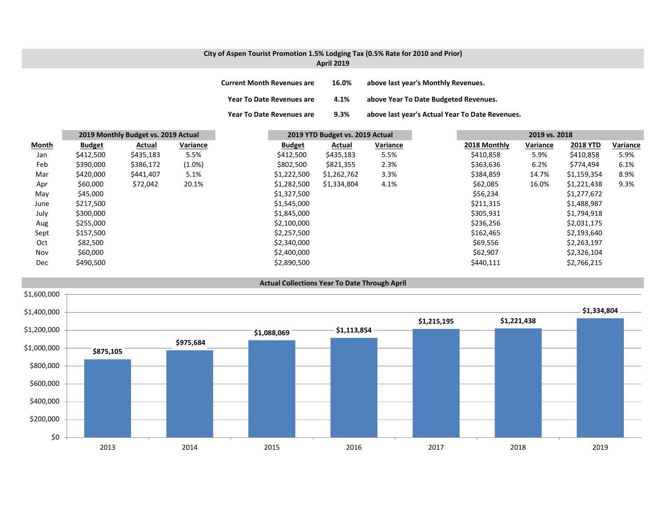## **City of Aspen Tourist Promotion 1.5% Lodging Tax (0.5% Rate for 2010 and Prior) April 2019**

| <b>Current Month Revenues are</b> | 16.0% | above last year's Monthly Revenues.             |
|-----------------------------------|-------|-------------------------------------------------|
| Year To Date Revenues are         | 4.1%  | above Year To Date Budgeted Revenues.           |
| <b>Year To Date Revenues are</b>  | 9.3%  | above last year's Actual Year To Date Revenues. |

|       | 2019 Monthly Budget vs. 2019 Actual |           |           | 2019 YTD Budget vs. 2019 Actual |             |          | 2019 vs. 2018 |          |                 |          |
|-------|-------------------------------------|-----------|-----------|---------------------------------|-------------|----------|---------------|----------|-----------------|----------|
| Month | <b>Budget</b>                       | Actual    | Variance  | <b>Budget</b>                   | Actual      | Variance | 2018 Monthly  | Variance | <b>2018 YTD</b> | Variance |
| Jan   | \$412,500                           | \$435,183 | 5.5%      | \$412,500                       | \$435,183   | 5.5%     | \$410,858     | 5.9%     | \$410,858       | 5.9%     |
| Feb   | \$390,000                           | \$386,172 | $(1.0\%)$ | \$802,500                       | \$821,355   | 2.3%     | \$363,636     | 6.2%     | \$774,494       | 6.1%     |
| Mar   | \$420,000                           | \$441,407 | 5.1%      | \$1,222,500                     | \$1,262,762 | 3.3%     | \$384,859     | 14.7%    | \$1,159,354     | 8.9%     |
| Apr   | \$60,000                            | \$72,042  | 20.1%     | \$1,282,500                     | \$1,334,804 | 4.1%     | \$62,085      | 16.0%    | \$1,221,438     | 9.3%     |
| May   | \$45,000                            |           |           | \$1,327,500                     |             |          | \$56,234      |          | \$1,277,672     |          |
| June  | \$217,500                           |           |           | \$1,545,000                     |             |          | \$211,315     |          | \$1,488,987     |          |
| July  | \$300,000                           |           |           | \$1,845,000                     |             |          | \$305,931     |          | \$1,794,918     |          |
| Aug   | \$255,000                           |           |           | \$2,100,000                     |             |          | \$236,256     |          | \$2,031,175     |          |
| Sept  | \$157,500                           |           |           | \$2,257,500                     |             |          | \$162,465     |          | \$2,193,640     |          |
| Oct   | \$82,500                            |           |           | \$2,340,000                     |             |          | \$69,556      |          | \$2,263,197     |          |
| Nov   | \$60,000                            |           |           | \$2,400,000                     |             |          | \$62,907      |          | \$2,326,104     |          |
| Dec   | \$490,500                           |           |           | \$2,890,500                     |             |          | \$440,111     |          | \$2,766,215     |          |

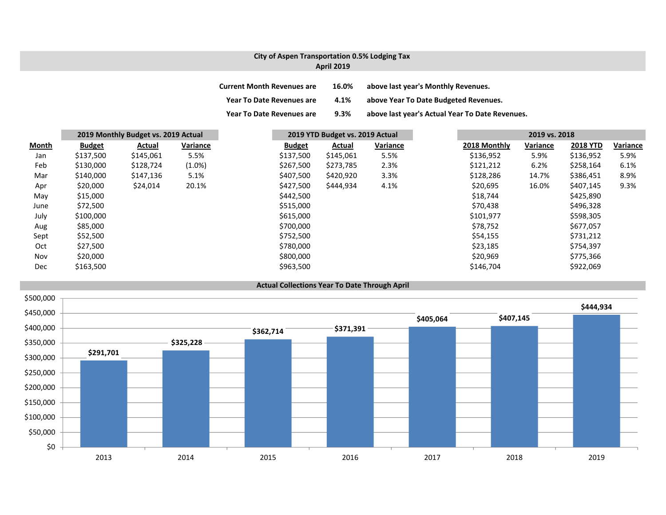## **City of Aspen Transportation 0.5% Lodging Tax April 2019**

| <b>Current Month Revenues are</b> | 16.0%   | above last year's Monthly Revenues.             |
|-----------------------------------|---------|-------------------------------------------------|
| <b>Year To Date Revenues are</b>  | 4.1%    | above Year To Date Budgeted Revenues.           |
| <b>Year To Date Revenues are</b>  | $9.3\%$ | above last year's Actual Year To Date Revenues. |

|              |               | 2019 Monthly Budget vs. 2019 Actual |           |               | 2019 YTD Budget vs. 2019 Actual |          |  | 2019 vs. 2018 |          |                 |          |
|--------------|---------------|-------------------------------------|-----------|---------------|---------------------------------|----------|--|---------------|----------|-----------------|----------|
| <b>Month</b> | <b>Budget</b> | Actual                              | Variance  | <b>Budget</b> | Actual                          | Variance |  | 2018 Monthly  | Variance | <b>2018 YTD</b> | Variance |
| Jan          | \$137,500     | \$145,061                           | 5.5%      | \$137,500     | \$145,061                       | 5.5%     |  | \$136,952     | 5.9%     | \$136,952       | 5.9%     |
| Feb          | \$130,000     | \$128,724                           | $(1.0\%)$ | \$267,500     | \$273,785                       | 2.3%     |  | \$121,212     | 6.2%     | \$258,164       | 6.1%     |
| Mar          | \$140,000     | \$147,136                           | 5.1%      | \$407,500     | \$420,920                       | 3.3%     |  | \$128,286     | 14.7%    | \$386,451       | 8.9%     |
| Apr          | \$20,000      | \$24,014                            | 20.1%     | \$427,500     | \$444,934                       | 4.1%     |  | \$20,695      | 16.0%    | \$407,145       | 9.3%     |
| May          | \$15,000      |                                     |           | \$442,500     |                                 |          |  | \$18,744      |          | \$425,890       |          |
| June         | \$72,500      |                                     |           | \$515,000     |                                 |          |  | \$70,438      |          | \$496,328       |          |
| July         | \$100,000     |                                     |           | \$615,000     |                                 |          |  | \$101,977     |          | \$598,305       |          |
| Aug          | \$85,000      |                                     |           | \$700,000     |                                 |          |  | \$78,752      |          | \$677,057       |          |
| Sept         | \$52,500      |                                     |           | \$752,500     |                                 |          |  | \$54,155      |          | \$731,212       |          |
| Oct          | \$27,500      |                                     |           | \$780,000     |                                 |          |  | \$23,185      |          | \$754,397       |          |
| Nov          | \$20,000      |                                     |           | \$800,000     |                                 |          |  | \$20,969      |          | \$775,366       |          |
| Dec          | \$163,500     |                                     |           | \$963,500     |                                 |          |  | \$146,704     |          | \$922,069       |          |

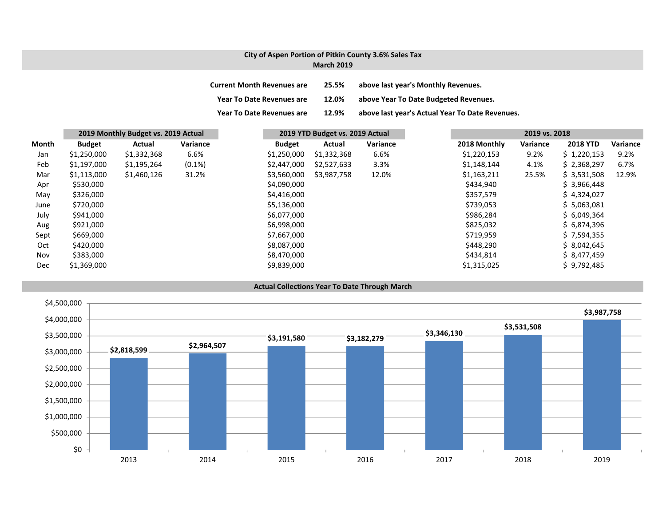#### **City of Aspen Portion of Pitkin County 3.6% Sales Tax March 2019**

| <b>Current Month Revenues are</b> | 25.5% | above last year's Monthly Revenues.             |
|-----------------------------------|-------|-------------------------------------------------|
| <b>Year To Date Revenues are</b>  | 12.0% | above Year To Date Budgeted Revenues.           |
| <b>Year To Date Revenues are</b>  | 12.9% | above last year's Actual Year To Date Revenues. |

|       |               | 2019 Monthly Budget vs. 2019 Actual |           |               | 2019 YTD Budget vs. 2019 Actual |          |  |              | 2019 vs. 2018 |                 |          |  |
|-------|---------------|-------------------------------------|-----------|---------------|---------------------------------|----------|--|--------------|---------------|-----------------|----------|--|
| Month | <b>Budget</b> | Actual                              | Variance  | <b>Budget</b> | Actual                          | Variance |  | 2018 Monthly | Variance      | <b>2018 YTD</b> | Variance |  |
| Jan   | \$1,250,000   | \$1,332,368                         | 6.6%      | \$1,250,000   | \$1,332,368                     | 6.6%     |  | \$1,220,153  | 9.2%          | \$1,220,153     | 9.2%     |  |
| Feb   | \$1,197,000   | \$1,195,264                         | $(0.1\%)$ | \$2,447,000   | \$2,527,633                     | 3.3%     |  | \$1,148,144  | 4.1%          | \$2,368,297     | 6.7%     |  |
| Mar   | \$1,113,000   | \$1,460,126                         | 31.2%     | \$3,560,000   | \$3,987,758                     | 12.0%    |  | \$1,163,211  | 25.5%         | \$3,531,508     | 12.9%    |  |
| Apr   | \$530,000     |                                     |           | \$4,090,000   |                                 |          |  | \$434,940    |               | \$3,966,448     |          |  |
| May   | \$326,000     |                                     |           | \$4,416,000   |                                 |          |  | \$357,579    |               | \$4,324,027     |          |  |
| June  | \$720,000     |                                     |           | \$5,136,000   |                                 |          |  | \$739,053    |               | \$5,063,081     |          |  |
| July  | \$941,000     |                                     |           | \$6,077,000   |                                 |          |  | \$986,284    |               | \$6,049,364     |          |  |
| Aug   | \$921,000     |                                     |           | \$6,998,000   |                                 |          |  | \$825,032    |               | \$6,874,396     |          |  |
| Sept  | \$669,000     |                                     |           | \$7,667,000   |                                 |          |  | \$719,959    |               | \$7,594,355     |          |  |
| Oct   | \$420,000     |                                     |           | \$8,087,000   |                                 |          |  | \$448,290    |               | \$8,042,645     |          |  |
| Nov   | \$383,000     |                                     |           | \$8,470,000   |                                 |          |  | \$434,814    |               | \$8,477,459     |          |  |
| Dec   | \$1,369,000   |                                     |           | \$9,839,000   |                                 |          |  | \$1,315,025  |               | \$9,792,485     |          |  |

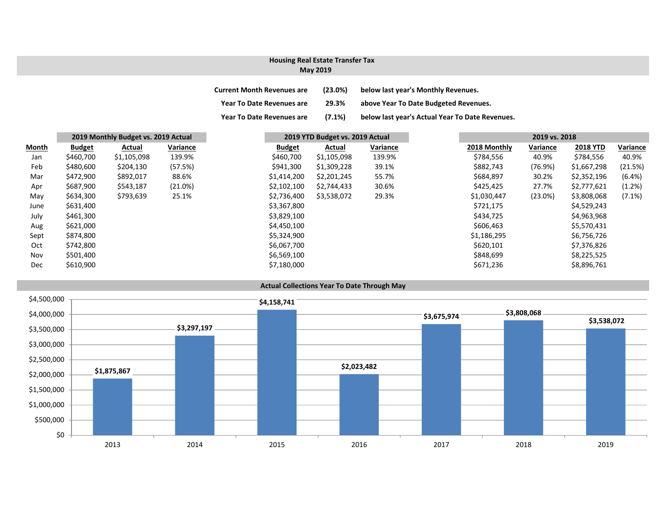## **Housing Real Estate Transfer Tax**

#### **May 2019**

| <b>Current Month Revenues are</b> | (23.0%)   | below last year's Monthly Revenues.             |
|-----------------------------------|-----------|-------------------------------------------------|
| <b>Year To Date Revenues are</b>  | 29.3%     | above Year To Date Budgeted Revenues.           |
| <b>Year To Date Revenues are</b>  | $(7.1\%)$ | below last year's Actual Year To Date Revenues. |

|       | 2019 Monthly Budget vs. 2019 Actual |             |          | 2019 YTD Budget vs. 2019 Actual |  |             |          |  | 2019 vs. 2018 |            |                 |
|-------|-------------------------------------|-------------|----------|---------------------------------|--|-------------|----------|--|---------------|------------|-----------------|
| Month | <b>Budget</b>                       | Actual      | Variance | <b>Budget</b>                   |  | Actual      | Variance |  | 2018 Monthly  | Variance   | <b>2018 YTD</b> |
| Jan   | \$460,700                           | \$1,105,098 | 139.9%   | \$460,700                       |  | \$1,105,098 | 139.9%   |  | \$784,556     | 40.9%      | \$784,556       |
| Feb   | \$480,600                           | \$204,130   | (57.5%)  | \$941,300                       |  | \$1,309,228 | 39.1%    |  | \$882,743     | (76.9%)    | \$1,667,298     |
| Mar   | \$472,900                           | \$892,017   | 88.6%    | \$1,414,200                     |  | \$2,201,245 | 55.7%    |  | \$684,897     | 30.2%      | \$2,352,196     |
| Apr   | \$687,900                           | \$543,187   | (21.0%)  | \$2,102,100                     |  | \$2,744,433 | 30.6%    |  | \$425,425     | 27.7%      | \$2,777,621     |
| May   | \$634,300                           | \$793,639   | 25.1%    | \$2,736,400                     |  | \$3,538,072 | 29.3%    |  | \$1,030,447   | $(23.0\%)$ | \$3,808,068     |
| June  | \$631,400                           |             |          | \$3,367,800                     |  |             |          |  | \$721,175     |            | \$4,529,243     |
| July  | \$461,300                           |             |          | \$3,829,100                     |  |             |          |  | \$434,725     |            | \$4,963,968     |
| Aug   | \$621,000                           |             |          | \$4,450,100                     |  |             |          |  | \$606,463     |            | \$5,570,431     |
| Sept  | \$874,800                           |             |          | \$5,324,900                     |  |             |          |  | \$1,186,295   |            | \$6,756,726     |
| Oct   | \$742,800                           |             |          | \$6,067,700                     |  |             |          |  | \$620,101     |            | \$7,376,826     |
| Nov   | \$501,400                           |             |          | \$6,569,100                     |  |             |          |  | \$848,699     |            | \$8,225,525     |
| Dec   | \$610,900                           |             |          | \$7,180,000                     |  |             |          |  | \$671,236     |            | \$8,896,761     |

## **Actual Collections Year To Date Through May**